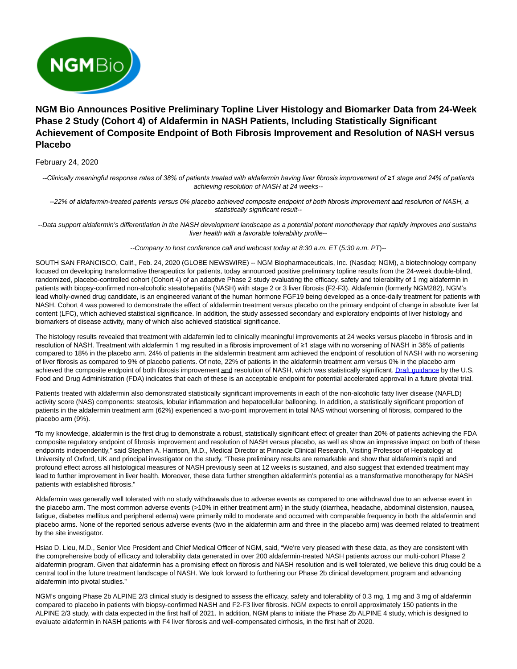

# **NGM Bio Announces Positive Preliminary Topline Liver Histology and Biomarker Data from 24-Week Phase 2 Study (Cohort 4) of Aldafermin in NASH Patients, Including Statistically Significant Achievement of Composite Endpoint of Both Fibrosis Improvement and Resolution of NASH versus Placebo**

# February 24, 2020

*--Clinically meaningful response rates of 38% of patients treated with aldafermin having liver fibrosis improvement of ≥1 stage and 24% of patients* achieving resolution of NASH at 24 weeks--

--22% of aldafermin-treated patients versus 0% placebo achieved composite endpoint of both fibrosis improvement and resolution of NASH, a statistically significant result--

--Data support aldafermin's differentiation in the NASH development landscape as a potential potent monotherapy that rapidly improves and sustains liver health with a favorable tolerability profile--

--Company to host conference call and webcast today at 8:30 a.m. ET (5:30 a.m. PT)--

SOUTH SAN FRANCISCO, Calif., Feb. 24, 2020 (GLOBE NEWSWIRE) -- NGM Biopharmaceuticals, Inc. (Nasdaq: NGM), a biotechnology company focused on developing transformative therapeutics for patients, today announced positive preliminary topline results from the 24-week double-blind, randomized, placebo-controlled cohort (Cohort 4) of an adaptive Phase 2 study evaluating the efficacy, safety and tolerability of 1 mg aldafermin in patients with biopsy-confirmed non-alcoholic steatohepatitis (NASH) with stage 2 or 3 liver fibrosis (F2-F3). Aldafermin (formerly NGM282), NGM's lead wholly-owned drug candidate, is an engineered variant of the human hormone FGF19 being developed as a once-daily treatment for patients with NASH. Cohort 4 was powered to demonstrate the effect of aldafermin treatment versus placebo on the primary endpoint of change in absolute liver fat content (LFC), which achieved statistical significance. In addition, the study assessed secondary and exploratory endpoints of liver histology and biomarkers of disease activity, many of which also achieved statistical significance.

The histology results revealed that treatment with aldafermin led to clinically meaningful improvements at 24 weeks versus placebo in fibrosis and in resolution of NASH. Treatment with aldafermin 1 mg resulted in a fibrosis improvement of ≥1 stage with no worsening of NASH in 38% of patients compared to 18% in the placebo arm. 24% of patients in the aldafermin treatment arm achieved the endpoint of resolution of NASH with no worsening of liver fibrosis as compared to 9% of placebo patients. Of note, 22% of patients in the aldafermin treatment arm versus 0% in the placebo arm achieved the composite endpoint of both fibrosis improvement and resolution of NASH, which was statistically significant[. Draft guidance b](https://www.globenewswire.com/Tracker?data=FVFyS9dY17kx1UVUt5PSdVDTjUmhWhDuMtBxN-pSD5qGWtllj9cAUsIrAV6mZ5yXq0DKUuctDAt-WXzX-MzMtkYu6oai-lyMHZDwsRfnzmbz6SLTe4oADN5UqN2PjDxW62EW57PgaqQTSXSL-J4Mkt1n2u5Ll2RvOAmdqs1-0MX75Ie_dP1nQPHaVvB1AgaeQdXJrmAfTYKiu_0q1XbwkN1Rcx27lYya1VkUhdEQo0UoAspVYYr8FJAs4be5rBTx)y the U.S. Food and Drug Administration (FDA) indicates that each of these is an acceptable endpoint for potential accelerated approval in a future pivotal trial.

Patients treated with aldafermin also demonstrated statistically significant improvements in each of the non-alcoholic fatty liver disease (NAFLD) activity score (NAS) components: steatosis, lobular inflammation and hepatocellular ballooning. In addition, a statistically significant proportion of patients in the aldafermin treatment arm (62%) experienced a two-point improvement in total NAS without worsening of fibrosis, compared to the placebo arm (9%).

"To my knowledge, aldafermin is the first drug to demonstrate a robust, statistically significant effect of greater than 20% of patients achieving the FDA composite regulatory endpoint of fibrosis improvement and resolution of NASH versus placebo, as well as show an impressive impact on both of these endpoints independently," said Stephen A. Harrison, M.D., Medical Director at Pinnacle Clinical Research, Visiting Professor of Hepatology at University of Oxford, UK and principal investigator on the study. "These preliminary results are remarkable and show that aldafermin's rapid and profound effect across all histological measures of NASH previously seen at 12 weeks is sustained, and also suggest that extended treatment may lead to further improvement in liver health. Moreover, these data further strengthen aldafermin's potential as a transformative monotherapy for NASH patients with established fibrosis."

Aldafermin was generally well tolerated with no study withdrawals due to adverse events as compared to one withdrawal due to an adverse event in the placebo arm. The most common adverse events (>10% in either treatment arm) in the study (diarrhea, headache, abdominal distension, nausea, fatigue, diabetes mellitus and peripheral edema) were primarily mild to moderate and occurred with comparable frequency in both the aldafermin and placebo arms. None of the reported serious adverse events (two in the aldafermin arm and three in the placebo arm) was deemed related to treatment by the site investigator.

Hsiao D. Lieu, M.D., Senior Vice President and Chief Medical Officer of NGM, said, "We're very pleased with these data, as they are consistent with the comprehensive body of efficacy and tolerability data generated in over 200 aldafermin-treated NASH patients across our multi-cohort Phase 2 aldafermin program. Given that aldafermin has a promising effect on fibrosis and NASH resolution and is well tolerated, we believe this drug could be a central tool in the future treatment landscape of NASH. We look forward to furthering our Phase 2b clinical development program and advancing aldafermin into pivotal studies."

NGM's ongoing Phase 2b ALPINE 2/3 clinical study is designed to assess the efficacy, safety and tolerability of 0.3 mg, 1 mg and 3 mg of aldafermin compared to placebo in patients with biopsy-confirmed NASH and F2-F3 liver fibrosis. NGM expects to enroll approximately 150 patients in the ALPINE 2/3 study, with data expected in the first half of 2021. In addition, NGM plans to initiate the Phase 2b ALPINE 4 study, which is designed to evaluate aldafermin in NASH patients with F4 liver fibrosis and well-compensated cirrhosis, in the first half of 2020.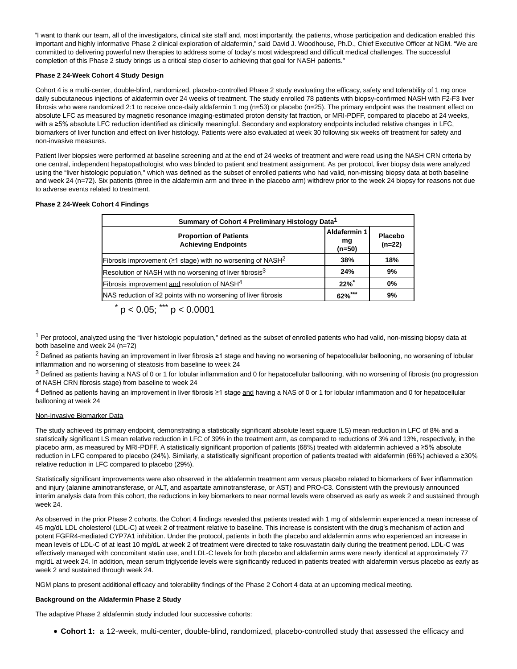"I want to thank our team, all of the investigators, clinical site staff and, most importantly, the patients, whose participation and dedication enabled this important and highly informative Phase 2 clinical exploration of aldafermin," said David J. Woodhouse, Ph.D., Chief Executive Officer at NGM. "We are committed to delivering powerful new therapies to address some of today's most widespread and difficult medical challenges. The successful completion of this Phase 2 study brings us a critical step closer to achieving that goal for NASH patients."

## **Phase 2 24-Week Cohort 4 Study Design**

Cohort 4 is a multi-center, double-blind, randomized, placebo-controlled Phase 2 study evaluating the efficacy, safety and tolerability of 1 mg once daily subcutaneous injections of aldafermin over 24 weeks of treatment. The study enrolled 78 patients with biopsy-confirmed NASH with F2-F3 liver fibrosis who were randomized 2:1 to receive once-daily aldafermin 1 mg (n=53) or placebo (n=25). The primary endpoint was the treatment effect on absolute LFC as measured by magnetic resonance imaging-estimated proton density fat fraction, or MRI-PDFF, compared to placebo at 24 weeks, with a ≥5% absolute LFC reduction identified as clinically meaningful. Secondary and exploratory endpoints included relative changes in LFC, biomarkers of liver function and effect on liver histology. Patients were also evaluated at week 30 following six weeks off treatment for safety and non-invasive measures.

Patient liver biopsies were performed at baseline screening and at the end of 24 weeks of treatment and were read using the NASH CRN criteria by one central, independent hepatopathologist who was blinded to patient and treatment assignment. As per protocol, liver biopsy data were analyzed using the "liver histologic population," which was defined as the subset of enrolled patients who had valid, non-missing biopsy data at both baseline and week 24 (n=72). Six patients (three in the aldafermin arm and three in the placebo arm) withdrew prior to the week 24 biopsy for reasons not due to adverse events related to treatment.

### **Phase 2 24-Week Cohort 4 Findings**

| Summary of Cohort 4 Preliminary Histology Data <sup>1</sup>            |                                     |                            |
|------------------------------------------------------------------------|-------------------------------------|----------------------------|
| <b>Proportion of Patients</b><br><b>Achieving Endpoints</b>            | <b>Aldafermin 1</b><br>mg<br>(n=50) | <b>Placebo</b><br>$(n=22)$ |
| Fibrosis improvement (≥1 stage) with no worsening of NASH <sup>2</sup> | 38%                                 | 18%                        |
| Resolution of NASH with no worsening of liver fibrosis <sup>3</sup>    | 24%                                 | 9%                         |
| Fibrosis improvement and resolution of NASH <sup>4</sup>               | 22%                                 | $0\%$                      |
| NAS reduction of ≥2 points with no worsening of liver fibrosis         | $62\%$ ***                          | 9%                         |

$$
p < 0.05; \dots, p < 0.0001
$$

 $1$  Per protocol, analyzed using the "liver histologic population," defined as the subset of enrolled patients who had valid, non-missing biopsy data at both baseline and week 24 (n=72)

2 Defined as patients having an improvement in liver fibrosis ≥1 stage and having no worsening of hepatocellular ballooning, no worsening of lobular inflammation and no worsening of steatosis from baseline to week 24

 $3$  Defined as patients having a NAS of 0 or 1 for lobular inflammation and 0 for hepatocellular ballooning, with no worsening of fibrosis (no progression of NASH CRN fibrosis stage) from baseline to week 24

 $4$  Defined as patients having an improvement in liver fibrosis ≥1 stage and having a NAS of 0 or 1 for lobular inflammation and 0 for hepatocellular ballooning at week 24

### Non-Invasive Biomarker Data

The study achieved its primary endpoint, demonstrating a statistically significant absolute least square (LS) mean reduction in LFC of 8% and a statistically significant LS mean relative reduction in LFC of 39% in the treatment arm, as compared to reductions of 3% and 13%, respectively, in the placebo arm, as measured by MRI-PDFF. A statistically significant proportion of patients (68%) treated with aldafermin achieved a ≥5% absolute reduction in LFC compared to placebo (24%). Similarly, a statistically significant proportion of patients treated with aldafermin (66%) achieved a ≥30% relative reduction in LFC compared to placebo (29%).

Statistically significant improvements were also observed in the aldafermin treatment arm versus placebo related to biomarkers of liver inflammation and injury (alanine aminotransferase, or ALT, and aspartate aminotransferase, or AST) and PRO-C3. Consistent with the previously announced interim analysis data from this cohort, the reductions in key biomarkers to near normal levels were observed as early as week 2 and sustained through week 24.

As observed in the prior Phase 2 cohorts, the Cohort 4 findings revealed that patients treated with 1 mg of aldafermin experienced a mean increase of 45 mg/dL LDL cholesterol (LDL-C) at week 2 of treatment relative to baseline. This increase is consistent with the drug's mechanism of action and potent FGFR4-mediated CYP7A1 inhibition. Under the protocol, patients in both the placebo and aldafermin arms who experienced an increase in mean levels of LDL-C of at least 10 mg/dL at week 2 of treatment were directed to take rosuvastatin daily during the treatment period. LDL-C was effectively managed with concomitant statin use, and LDL-C levels for both placebo and aldafermin arms were nearly identical at approximately 77 mg/dL at week 24. In addition, mean serum triglyceride levels were significantly reduced in patients treated with aldafermin versus placebo as early as week 2 and sustained through week 24.

NGM plans to present additional efficacy and tolerability findings of the Phase 2 Cohort 4 data at an upcoming medical meeting.

### **Background on the Aldafermin Phase 2 Study**

The adaptive Phase 2 aldafermin study included four successive cohorts:

**Cohort 1:** a 12-week, multi-center, double-blind, randomized, placebo-controlled study that assessed the efficacy and